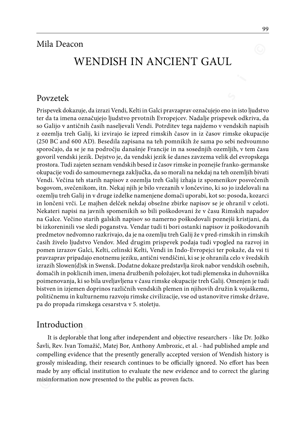# WENDISH IN ANCIENT GAUL

#### Povzetek

**WENDISH IN ANCIENT GAUL**<br>WENDISH IN ANCIENT GAUL<br>Prisperek dokazuje, da izrazi Vendi, Kelti in Gaki pravzaprav označujejo eno in isto ljudstvo<br>re da ta intens označujejo ljudstvo prvotnih Evropejcev. Nadalje prisperek odk Prispevek dokazuje, da izrazi Vendi, Kelti in Galci pravzaprav označujejo eno in isto ljudstvo ter da ta imena označujejo ljudstvo prvotnih Evropejcev. Nadalje prispevek odkriva, da so Galijo v antičnih časih naseljevali Vendi. Potrditev tega najdemo v vendskih napisih z ozemlja treh Galij, ki izvirajo še izpred rimskih časov in iz časov rimske okupacije (250 BC and 600 AD). Besedila zapisana na teh pomnikih že sama po sebi nedvoumno sporočajo, da se je na področju današnje Francije in na sosednjih ozemljih, v tem času govoril vendski jezik. Dejstvo je, da vendski jezik še danes zavzema velik del evropskega prostora. Tudi zajeten seznam vendskih besed iz časov rimske in poznejše franko-germanske okupacije vodi do samoumevnega zaključka, da so morali na nekdaj na teh ozemljih bivati Vendi. Večina teh starih napisov z ozemlja treh Galij izhaja iz spomenikov posvečenih bogovom, svečenikom, itn. Nekaj njih je bilo vrezanih v lončevino, ki so jo izdelovali na ozemlju treh Galij in v druge izdelke namenjene domači uporabi, kot so: posoda, kozarci in lončeni vrči. Le majhen delček nekdaj obsežne zbirke napisov se je ohranil v celoti. Nekateri napisi na javnih spomenikih so bili poškodovani že v času Rimskih napadov na Galce. Večino starih galskih napisov so namerno poškodovali poznejši kristjani, da bi izkoreninili vse sledi poganstva. Vendar tudi ti bori ostanki napisov iz poškodovanih predmetov nedvomno razkrivajo, da je na ozemlju treh Galij že v pred-rimskih in rimskih časih živelo ljudstvo Vendov. Med drugim prispevek podaja tudi vpogled na razvoj in pomen izrazov Galci, Kelti, celinski Kelti, Vendi in Indo-Evropejci ter pokaže, da vsi ti pravzaprav pripadajo enotnemu jeziku, antični vendščini, ki se je ohranila celo v švedskih izrazih Slowen(d)sk in Swensk. Dodatne dokaze predstavlja širok nabor vendskih osebnih, domačih in poklicnih imen, imena družbenih položajev, kot tudi plemenska in duhovniška poimenovanja, ki so bila uveljavljena v času rimske okupacije treh Galij. Omenjen je tudi bistven in izjemen doprinos različnih vendskih plemen in njihovih družin k vojaškemu, političnemu in kulturnemu razvoju rimske civilizacije, vse od ustanovitve rimske države, pa do propada rimskega cesarstva v 5. stoletju.

### Introduction

It is deplorable that long after independent and objective researchers - like Dr. Jožko Šavli, Rev. Ivan Tomažič, Matej Bor, Anthony Ambrozic, et al. - had published ample and compelling evidence that the presently generally accepted version of Wendish history is grossly misleading, their research continues to be officially ignored. No effort has been made by any official institution to evaluate the new evidence and to correct the glaring misinformation now presented to the public as proven facts.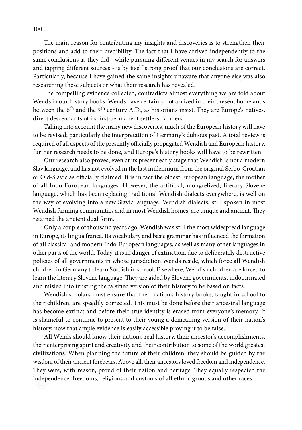The main reason for contributing my insights and discoveries is to strengthen their positions and add to their credibility. The fact that I have arrived independently to the same conclusions as they did - while pursuing different venues in my search for answers and tapping different sources - is by itself strong proof that our conclusions are correct. Particularly, because I have gained the same insights unaware that anyone else was also researching these subjects or what their research has revealed.

The compelling evidence collected, contradicts almost everything we are told about Wends in our history books. Wends have certainly not arrived in their present homelands between the 6<sup>th</sup> and the 9<sup>th</sup> century A.D., as historians insist. They are Europe's natives, direct descendants of its first permanent settlers, farmers.

Taking into account the many new discoveries, much of the European history will have to be revised; particularly the interpretation of Germany's dubious past. A total review is required of all aspects of the presently officially propagated Wendish and European history, further research needs to be done, and Europe's history books will have to be rewritten.

Our research also proves, even at its present early stage that Wendish is not a modern Slav language, and has not evolved in the last millennium from the original Serbo-Croatian or Old-Slavic as officially claimed. It is in fact the oldest European language, the mother of all Indo-European languages. However, the artificial, mongrelized, literary Slovene language, which has been replacing traditional Wendish dialects everywhere, is well on the way of evolving into a new Slavic language. Wendish dialects, still spoken in most Wendish farming communities and in most Wendish homes, are unique and ancient. They retained the ancient dual form.

In the haint reason of volutionally any probable and vascoveres so we respect to the reasonable and control of volution and control of the pressure of the pressure of the pressure of the pressure of the pressure of the pr Only a couple of thousand years ago, Wendish was still the most widespread language in Europe, its lingua franca. Its vocabulary and basic grammar has influenced the formation of all classical and modern Indo-European languages, as well as many other languages in other parts of the world. Today, it is in danger of extinction, due to deliberately destructive policies of all governments in whose jurisdiction Wends reside, which force all Wendish children in Germany to learn Sorbish in school. Elsewhere, Wendish children are forced to learn the literary Slovene language. They are aided by Slovene governments, indoctrinated and misled into trusting the falsified version of their history to be based on facts.

Wendish scholars must ensure that their nation's history books, taught in school to their children, are speedily corrected. This must be done before their ancestral language has become extinct and before their true identity is erased from everyone's memory. It is shameful to continue to present to their young a demeaning version of their nation's history, now that ample evidence is easily accessible proving it to be false.

All Wends should know their nation's real history, their ancestor's accomplishments, their enterprising spirit and creativity and their contribution to some of the world greatest civilizations. When planning the future of their children, they should be guided by the wisdom of their ancient forebears. Above all, their ancestors loved freedom and independence. They were, with reason, proud of their nation and heritage. They equally respected the independence, freedoms, religions and customs of all ethnic groups and other races.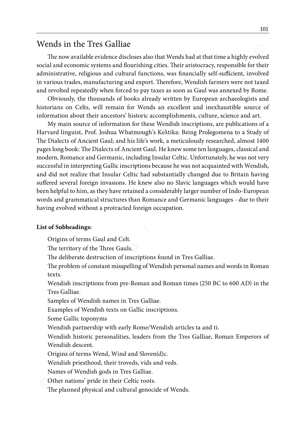### Wends in the Tres Galliae

The now available evidence discloses also that Wends had at that time a highly evolved social and economic systems and flourishing cities. Their aristocracy, responsible for their administrative, religious and cultural functions, was financially self-sufficient, involved in various trades, manufacturing and export. Therefore, Wendish farmers were not taxed and revolted repeatedly when forced to pay taxes as soon as Gaul was annexed by Rome.

Obviously, the thousands of books already written by European archaeologists and historians on Celts, will remain for Wends an excellent and inexhaustible source of information about their ancestors' historic accomplishments, culture, science and art.

**WendS in the I res Galliae<br>
The now available vickness also that the noise and bourishing cities. Their aristocracy, responsible for their<br>
and moreonic systems and lourishing cities. Their aristocracy, responsible for th** My main source of information for these Wendish inscriptions, are publications of a Harvard linguist, Prof. Joshua Whatmough's Keλtika: Being Prolegomena to a Study of The Dialects of Ancient Gaul; and his life's work, a meticulously researched, almost 1400 pages long book: The Dialects of Ancient Gaul. He knew some ten languages, classical and modern, Romance and Germanic, including Insular Celtic. Unfortunately, he was not very successful in interpreting Gallic inscriptions because he was not acquainted with Wendish, and did not realize that Insular Celtic had substantially changed due to Britain having suffered several foreign invasions. He knew also no Slavic languages which would have been helpful to him, as they have retained a considerably larger number of Indo-European words and grammatical structures than Romance and Germanic languages - due to their having evolved without a protracted foreign occupation.

#### **List of Subheadings:**

Origins of terms Gaul and Celt.

The territory of the Three Gauls.

The deliberate destruction of inscriptions found in Tres Galliae.

The problem of constant misspelling of Wendish personal names and words in Roman texts.

Wendish inscriptions from pre-Roman and Roman times (250 BC to 600 AD) in the Tres Galliae.

Samples of Wendish names in Tres Galliae.

Examples of Wendish texts on Gallic inscriptions.

Some Gallic toponyms

Wendish partnership with early Rome/Wendish articles ta and ti.

Wendish historic personalities, leaders from the Tres Galliae, Roman Emperors of Wendish descent.

Origins of terms Wend, Wind and Sloven(d)c.

Wendish priesthood, their troveds, vids and veds.

Names of Wendish gods in Tres Galliae.

Other nations' pride in their Celtic roots.

The planned physical and cultural genocide of Wends.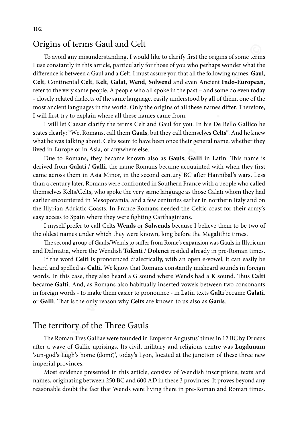## Origins of terms Gaul and Celt

To avoid any misunderstanding, I would like to clarify first the origins of some terms I use constantly in this article, particularly for those of you who perhaps wonder what the difference is between a Gaul and a Celt. I must assure you that all the following names: **Gaul**, **Celt**, Continental **Celt**, **Kelt**, **Galat**, **Wend**, **Solwend** and even Ancient **Indo-European**, refer to the very same people. A people who all spoke in the past – and some do even today - closely related dialects of the same language, easily understood by all of them, one of the most ancient languages in the world. Only the origins of all these names differ. Therefore, I will first try to explain where all these names came from.

I will let Caesar clarify the terms Celt and Gaul for you. In his De Bello Gallico he states clearly: "We, Romans, call them **Gauls**, but they call themselves **Celts**". And he knew what he was talking about. Celts seem to have been once their general name, whether they lived in Europe or in Asia, or anywhere else.

**EVENGE SERV CENTS CENT (ITENT) IS a computer of the statistic and Celf (ITENT) is a small of the statistic particularly for those of you who perhaps wonder what the use constantly in this article, particularly for those o** Due to Romans, they became known also as **Gauls**, **Galli** in Latin. This name is derived from **Galati** / **Galli**, the name Romans became acquainted with when they first came across them in Asia Minor, in the second century BC after Hannibal's wars. Less than a century later, Romans were confronted in Southern France with a people who called themselves Kelts/Celts, who spoke the very same language as those Galati whom they had earlier encountered in Mesopotamia, and a few centuries earlier in northern Italy and on the Illyrian Adriatic Coasts. In France Romans needed the Celtic coast for their army's easy access to Spain where they were fighting Carthaginians.

I myself prefer to call Celts **Wends** or **Solwends** because I believe them to be two of the oldest names under which they were known, long before the Megalithic times.

The second group of Gauls/Wends to suffer from Rome's expansion was Gauls in Illyricum and Dalmatia, where the Wendish **Tolenti** / **Dolenci** resided already in pre-Roman times.

If the word **Celti** is pronounced dialectically, with an open e-vowel, it can easily be heard and spelled as **Calti**. We know that Romans constantly misheard sounds in foreign words. In this case, they also heard a G sound where Wends had a **K** sound. Thus **Calti**  became **Galti**. And, as Romans also habitually inserted vowels between two consonants in foreign words - to make them easier to pronounce - in Latin texts **Galti** became **Galati**, or **Galli**. That is the only reason why **Celts** are known to us also as **Gauls**.

### The territory of the Three Gauls

The Roman Tres Galliae were founded in Emperor Augustus' times in 12 BC by Drusus after a wave of Gallic uprisings. Its civil, military and religious centre was **Lugdunum** 'sun-god's Lugh's home (dom?)', today's Lyon, located at the junction of these three new imperial provinces.

Most evidence presented in this article, consists of Wendish inscriptions, texts and names, originating between 250 BC and 600 AD in these 3 provinces. It proves beyond any reasonable doubt the fact that Wends were living there in pre-Roman and Roman times.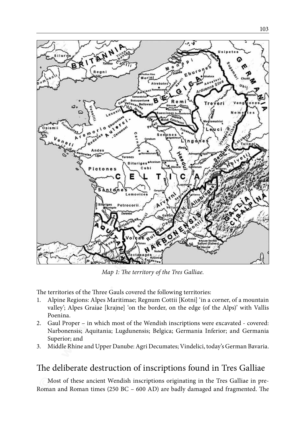

*Map 1: The territory of the Tres Galliae.*

The territories of the Three Gauls covered the following territories:

- 1. Alpine Regions: Alpes Maritimae; Regnum Cottii [Kotni] 'in a corner, of a mountain valley'; Alpes Graiae [krajne] 'on the border, on the edge (of the Alps)' with Vallis Poenina.
- 2. Gaul Proper in which most of the Wendish inscriptions were excavated covered: Narbonensis; Aquitania; Lugdunensis; Belgica; Germania Inferior; and Germania Superior; and
- 3. Middle Rhine and Upper Danube: Agri Decumates; Vindelici, today's German Bavaria.

## The deliberate destruction of inscriptions found in Tres Galliae

Most of these ancient Wendish inscriptions originating in the Tres Galliae in pre-Roman and Roman times (250 BC – 600 AD) are badly damaged and fragmented. The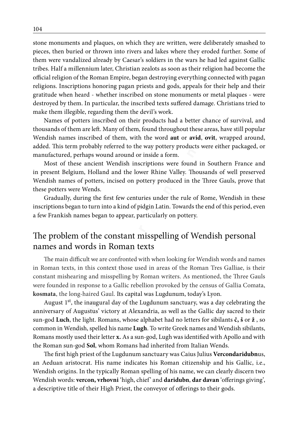**© w w w . k o r e n i n e . s i ©** stone monuments and plaques, on which they are written, were deliberately smashed to pieces, then buried or thrown into rivers and lakes where they eroded further. Some of them were vandalized already by Caesar's soldiers in the wars he had led against Gallic tribes. Half a millennium later, Christian zealots as soon as their religion had become the official religion of the Roman Empire, began destroying everything connected with pagan religions. Inscriptions honoring pagan priests and gods, appeals for their help and their gratitude when heard - whether inscribed on stone monuments or metal plaques - were destroyed by them. In particular, the inscribed texts suffered damage. Christians tried to make them illegible, regarding them the devil's work.

Names of potters inscribed on their products had a better chance of survival, and thousands of them are left. Many of them, found throughout these areas, have still popular Wendish names inscribed of them, with the word **aut** or **avid**, **ovit**, wrapped around, added. This term probably referred to the way pottery products were either packaged, or manufactured, perhaps wound around or inside a form.

Most of these ancient Wendish inscriptions were found in Southern France and in present Belgium, Holland and the lower Rhine Valley. Thousands of well preserved Wendish names of potters, incised on pottery produced in the Three Gauls, prove that these potters were Wends.

Gradually, during the first few centuries under the rule of Rome, Wendish in these inscriptions began to turn into a kind of pidgin Latin. Towards the end of this period, even a few Frankish names began to appear, particularly on pottery.

### The problem of the constant misspelling of Wendish personal names and words in Roman texts

The main difficult we are confronted with when looking for Wendish words and names in Roman texts, in this context those used in areas of the Roman Tres Galliae, is their constant mishearing and misspelling by Roman writers. As mentioned, the Three Gauls were founded in response to a Gallic rebellion provoked by the census of Gallia Comata, **kosmata**, the long-haired Gaul. Its capital was Lugdunum, today's Lyon.

August  $1<sup>st</sup>$ , the inaugural day of the Lugdunum sanctuary, was a day celebrating the anniversary of Augustus' victory at Alexandria, as well as the Gallic day sacred to their sun-god **Luch**, the light. Romans, whose alphabet had no letters for sibilants **č, š** or **ž** , so common in Wendish, spelled his name **Lugh**. To write Greek names and Wendish sibilants, Romans mostly used their letter **x.** As a sun-god, Lugh was identified with Apollo and with the Roman sun-god **Sol**, whom Romans had inherited from Italian Wends.

The first high priest of the Lugdunum sanctuary was Caius Julius **Vercondaridubn**us, an Aeduan aristocrat. His name indicates his Roman citizenship and his Gallic, i.e., Wendish origins. In the typically Roman spelling of his name, we can clearly discern two Wendish words: **vercon, vrhovni** 'high, chief' and **daridubn**, **dar davan** 'offerings giving', a descriptive title of their High Priest, the conveyor of offerings to their gods.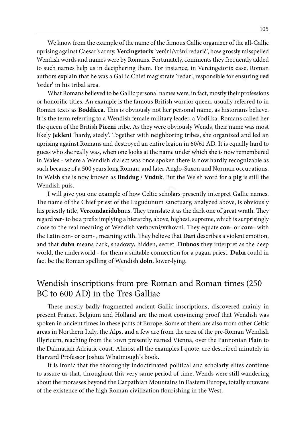We know from the example of the name of the famous Gallic organizer of the all-Gallic uprising against Caesar's army, **Vercingetorix** 'veršni/vršni redarič', how grossly misspelled Wendish words and names were by Romans. Fortunately, comments they frequently added to such names help us in deciphering them. For instance, in Vercingetorix case, Roman authors explain that he was a Gallic Chief magistrate 'redar', responsible for ensuring **red** 'order' in his tribal area.

We show Youth the camputa on the manus of the most standard on the standard on the standard with the standard with the standard with the standard with the standard with the standard with the standard with the standard with What Romans believed to be Gallic personal names were, in fact, mostly their professions or honorific titles. An example is the famous British warrior queen, usually referred to in Roman texts as **Boddícca**. This is obviously not her personal name, as historians believe. It is the term referring to a Wendish female military leader, a Vodílka. Romans called her the queen of the British **Piceni** tribe. As they were obviously Wends, their name was most likely **Jekleni** 'hardy, steely'. Together with neighboring tribes, she organized and led an uprising against Romans and destroyed an entire legion in 60/61 AD. It is equally hard to guess who she really was, when one looks at the name under which she is now remembered in Wales - where a Wendish dialect was once spoken there is now hardly recognizable as such because of a 500 years long Roman, and later Anglo-Saxon and Norman occupations. In Welsh she is now known as **Buddug** / **Vuduk**. But the Welsh word for a **pig** is still the Wendish puis.

I will give you one example of how Celtic scholars presently interpret Gallic names. The name of the Chief priest of the Lugudunum sanctuary, analyzed above, is obviously his priestly title, **Vercondaridubn**us. They translate it as the dark one of great wrath. They regard **ver**- to be a prefix implying a hierarchy, above, highest, supreme, which is surprisingly close to the real meaning of Wendish **ver**hovni/**vrh**ovni. They equate **con**- or **com**- with the Latin con- or com- , meaning with. They believe that **Dari** describes a violent emotion, and that **dubn** means dark, shadowy; hidden, secret. **Dubnos** they interpret as the deep world, the underworld - for them a suitable connection for a pagan priest. **Dubn** could in fact be the Roman spelling of Wendish **doln**, lower-lying.

### Wendish inscriptions from pre-Roman and Roman times (250 BC to 600 AD) in the Tres Galliae

These mostly badly fragmented ancient Gallic inscriptions, discovered mainly in present France, Belgium and Holland are the most convincing proof that Wendish was spoken in ancient times in these parts of Europe. Some of them are also from other Celtic areas in Northern Italy, the Alps, and a few are from the area of the pre-Roman Wendish Illyricum, reaching from the town presently named Vienna, over the Pannonian Plain to the Dalmatian Adriatic coast. Almost all the examples I quote, are described minutely in Harvard Professor Joshua Whatmough's book.

It is ironic that the thoroughly indoctrinated political and scholarly elites continue to assure us that, throughout this very same period of time, Wends were still wandering about the morasses beyond the Carpathian Mountains in Eastern Europe, totally unaware of the existence of the high Roman civilization flourishing in the West.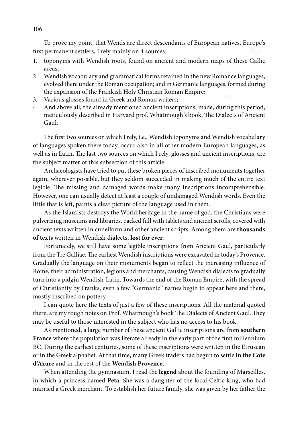To prove my point, that Wends are direct descendants of European natives, Europe's first permanent settlers, I rely mainly on 4 sources:

- 1. toponyms with Wendish roots, found on ancient and modern maps of these Gallic areas;
- 2. Wendish vocabulary and grammatical forms retained in the new Romance languages, evolved there under the Roman occupation; and in Germanic languages, formed during the expansion of the Frankish Holy Christian Roman Empire;
- 3. Various glosses found in Greek and Roman writers;
- 4. And above all, the already mentioned ancient inscriptions, made, during this period, meticulously described in Harvard prof. Whatmough's book, The Dialects of Ancient Gaul.

The first two sources on which I rely, i.e., Wendish toponyms and Wendish vocabulary of languages spoken there today, occur also in all other modern European languages, as well as in Latin. The last two sources on which I rely, glosses and ancient inscriptions, are the subject matter of this subsection of this article.

Archaeologists have tried to put these broken pieces of inscribed monuments together again, wherever possible, but they seldom succeeded in making much of the entire text legible. The missing and damaged words make many inscriptions incomprehensible. However, one can usually detect at least a couple of undamaged Wendish words. Even the little that is left, paints a clear picture of the language used in them.

As the Islamists destroys the World heritage in the name of god, the Christians were pulverizing museums and libraries, packed full with tablets and ancient scrolls, covered with ancient texts written in cuneiform and other ancient scripts. Among them are **thousands of texts** written in Wendish dialects, **lost for ever**.

to the my point in the material materials of the measure and the measure in the particular states. For the measure of the measurement settles, I. rely mainly on *t* sources:<br> **Experiment and modern maps of these Gallis<br>
ar** Fortunately, we still have some legible inscriptions from Ancient Gaul, particularly from the Tre Galliae. The earliest Wendish inscriptions were excavated in today's Provence. Gradually the language on their monuments began to reflect the increasing influence of Rome, their administration, legions and merchants, causing Wendish dialects to gradually turn into a pidgin Wendish-Latin. Towards the end of the Roman Empire, with the spread of Christianity by Franks, even a few "Germanic" names begin to appear here and there, mostly inscribed on pottery.

I can quote here the texts of just a few of these inscriptions. All the material quoted there, are my rough notes on Prof. Whatmough's book The Dialects of Ancient Gaul. They may be useful to those interested in the subject who has no access to his book.

As mentioned, a large number of these ancient Gallic inscriptions are from **southern France** where the population was literate already in the early part of the first millennium BC. During the earliest centuries, some of these inscriptions were written in the Etruscan or in the Greek alphabet. At that time, many Greek traders had begun to settle **in the Cote d'Azure** and in the rest of the **Wendish Provence.**

When attending the gymnasium, I read the **legend** about the founding of Marseilles, in which a princess named **Peta**. She was a daughter of the local Celtic king, who had married a Greek merchant. To establish her future family, she was given by her father the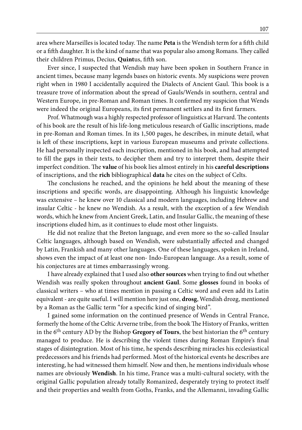area where Marseilles is located today. The name **Peta** is the Wendish term for a fifth child or a fifth daughter. It is the kind of name that was popular also among Romans. They called their children Primus, Decius, **Quint**us, fifth son.

Ever since, I suspected that Wendish may have been spoken in Southern France in ancient times, because many legends bases on historic events. My suspicions were proven right when in 1980 I accidentally acquired the Dialects of Ancient Gaul. This book is a treasure trove of information about the spread of Gauls/Wends in southern, central and Western Europe, in pre-Roman and Roman times. It confirmed my suspicion that Wends were indeed the original Europeans, its first permanent settlers and its first farmers.

Prof. Whatmough was a highly respected professor of linguistics at Harvard. The contents of his book are the result of his life-long meticulous research of Gallic inscriptions, made in pre-Roman and Roman times. In its 1,500 pages, he describes, in minute detail, what is left of these inscriptions, kept in various European museums and private collections. He had personally inspected each inscription, mentioned in his book, and had attempted to fill the gaps in their texts, to decipher them and try to interpret them, despite their imperfect condition. The **value** of his book lies almost entirely in his **careful descriptions**  of inscriptions, and the **rich** bibliographical **data** he cites on the subject of Celts.

The conclusions he reached, and the opinions he held about the meaning of these inscriptions and specific words, are disappointing. Although his linguistic knowledge was extensive – he knew over 10 classical and modern languages, including Hebrew and insular Celtic - he knew no Wendish. As a result, with the exception of a few Wendish words, which he knew from Ancient Greek, Latin, and Insular Gallic, the meaning of these inscriptions eluded him, as it continues to elude most other linguists.

He did not realize that the Breton language, and even more so the so-called Insular Celtic languages, although based on Wendish, were substantially affected and changed by Latin, Frankish and many other languages. One of these languages, spoken in Ireland, shows even the impact of at least one non- Indo-European language. As a result, some of his conjectures are at times embarrassingly wrong.

I have already explained that I used also **other sources** when trying to find out whether Wendish was really spoken throughout **ancient Gaul**. Some **glosses** found in books of classical writers – who at times mention in passing a Celtic word and even add its Latin equivalent - are quite useful. I will mention here just one, **drosg**, Wendish drozg, mentioned by a Roman as the Gallic term "for a specific kind of singing bird".

**© w w w . k o r e n i n e . s i ©** I gained some information on the continued presence of Wends in Central France, formerly the home of the Celtic Arverne tribe, from the book The History of Franks, written in the  $6<sup>th</sup>$  century AD by the Bishop **Gregory of Tours**, the best historian the  $6<sup>th</sup>$  century managed to produce. He is describing the violent times during Roman Empire's final stages of disintegration. Most of his time, he spends describing miracles his ecclesiastical predecessors and his friends had performed. Most of the historical events he describes are interesting, he had witnessed them himself. Now and then, he mentions individuals whose names are obviously **Wendish**. In his time, France was a multi-cultural society, with the original Gallic population already totally Romanized, desperately trying to protect itself and their properties and wealth from Goths, Franks, and the Allemanni, invading Gallic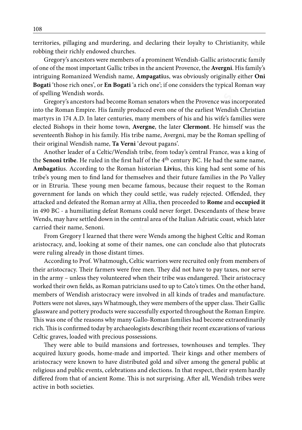territories, pillaging and murdering, and declaring their loyalty to Christianity, while robbing their richly endowed churches.

Gregory's ancestors were members of a prominent Wendish-Gallic aristocratic family of one of the most important Gallic tribes in the ancient Provence, the **Avergni**. His family's intriguing Romanized Wendish name, **Ampagati**us, was obviously originally either **Oni Bogati** 'those rich ones', or **En Bogati** 'a rich one'; if one considers the typical Roman way of spelling Wendish words.

Gregory's ancestors had become Roman senators when the Provence was incorporated into the Roman Empire. His family produced even one of the earliest Wendish Christian martyrs in 174 A.D. In later centuries, many members of his and his wife's families were elected Bishops in their home town, **Avergne**, the later **Clermont**. He himself was the seventeenth Bishop in his family. His tribe name, Avergni, may be the Roman spelling of their original Wendish name, **Ta Verni** 'devout pagans'.

Criging and monder and monder and monder and the state of a prominent Wendish Calike aristocratic family<br>obling their richly endowed churches.<br>
Gronco of the most important Gallie tribes in the ancient Protection. As a bro Another leader of a Celtic/Wendish tribe, from today's central France, was a king of the **Senoni tribe**. He ruled in the first half of the 4th century BC. He had the same name, **Ambagati**us. According to the Roman historian **Livi**us, this king had sent some of his tribe's young men to find land for themselves and their future families in the Po Valley or in Etruria. These young men became famous, because their request to the Roman government for lands on which they could settle, was rudely rejected. Offended, they attacked and defeated the Roman army at Allia, then proceeded to **Rome** and **occupied it**  in 490 BC - a humiliating defeat Romans could never forget. Descendants of these brave Wends, may have settled down in the central area of the Italian Adriatic coast, which later carried their name, Senoni.

From Gregory I learned that there were Wends among the highest Celtic and Roman aristocracy, and, looking at some of their names, one can conclude also that plutocrats were ruling already in those distant times.

According to Prof. Whatmough, Celtic warriors were recruited only from members of their aristocracy. Their farmers were free men. They did not have to pay taxes, nor serve in the army – unless they volunteered when their tribe was endangered. Their aristocracy worked their own fields, as Roman patricians used to up to Cato's times. On the other hand, members of Wendish aristocracy were involved in all kinds of trades and manufacture. Potters were not slaves, says Whatmough, they were members of the upper class. Their Gallic glassware and pottery products were successfully exported throughout the Roman Empire. This was one of the reasons why many Gallo-Roman families had become extraordinarily rich. This is confirmed today by archaeologists describing their recent excavations of various Celtic graves, loaded with precious possessions.

They were able to build mansions and fortresses, townhouses and temples. They acquired luxury goods, home-made and imported. Their kings and other members of aristocracy were known to have distributed gold and silver among the general public at religious and public events, celebrations and elections. In that respect, their system hardly differed from that of ancient Rome. This is not surprising. After all, Wendish tribes were active in both societies.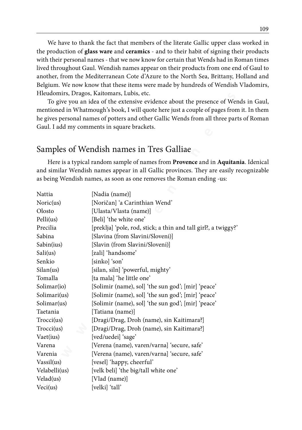We have to thank the fact that members of the literate Gallic upper class worked in the production of **glass ware** and **ceramics** - and to their habit of signing their products with their personal names - that we now know for certain that Wends had in Roman times lived throughout Gaul. Wendish names appear on their products from one end of Gaul to another, from the Mediterranean Cote d'Azure to the North Sea, Brittany, Holland and Belgium. We now know that these items were made by hundreds of Wendish Vladomirs, Hleudomirs, Dragos, Kaitomars, Lubis, etc.

### Samples of Wendish names in Tres Galliae

|               | we have to thank the fact that members of the ilterate Gallic upper class worked if      |  |  |
|---------------|------------------------------------------------------------------------------------------|--|--|
|               | the production of glass ware and ceramics - and to their habit of signing their products |  |  |
|               | with their personal names - that we now know for certain that Wends had in Roman time    |  |  |
|               | lived throughout Gaul. Wendish names appear on their products from one end of Gaul to    |  |  |
|               | another, from the Mediterranean Cote d'Azure to the North Sea, Brittany, Holland and     |  |  |
|               | Belgium. We now know that these items were made by hundreds of Wendish Vladomirs         |  |  |
|               | Hleudomirs, Dragos, Kaitomars, Lubis, etc.                                               |  |  |
|               | To give you an idea of the extensive evidence about the presence of Wends in Gaul        |  |  |
|               | mentioned in Whatmough's book, I will quote here just a couple of pages from it. In then |  |  |
|               | he gives personal names of potters and other Gallic Wends from all three parts of Romar  |  |  |
|               | Gaul. I add my comments in square brackets.                                              |  |  |
|               |                                                                                          |  |  |
|               |                                                                                          |  |  |
|               | Samples of Wendish names in Tres Galliae                                                 |  |  |
|               | Here is a typical random sample of names from Provence and in Aquitania. Idenica         |  |  |
|               | and similar Wendish names appear in all Gallic provinces. They are easily recognizable   |  |  |
|               | as being Wendish names, as soon as one removes the Roman ending -us:                     |  |  |
|               |                                                                                          |  |  |
| Nattia        | [Nadia (name)]                                                                           |  |  |
| Noric(us)     | [Noričan] 'a Carinthian Wend'                                                            |  |  |
| Olosto        | [Ulasta/Vlasta (name)]                                                                   |  |  |
| Pelli(us)     | [Beli] 'the white one'                                                                   |  |  |
| Precilia      | [preklja] 'pole, rod, stick; a thin and tall girl?, a twiggy?'                           |  |  |
| Sabina        | [Slavina (from Slavini/Sloveni)]                                                         |  |  |
| Sabin(ius)    | [Slavin (from Slavini/Sloveni)]                                                          |  |  |
| Sali(us)      | [zali] 'handsome'                                                                        |  |  |
| Senkio        | [sinko] 'son'                                                                            |  |  |
| Silan(us)     | [silan, siln] 'powerful, mighty'                                                         |  |  |
| Tomalla       | [ta mala] 'he little one'                                                                |  |  |
| Solimar(io)   | [Solimir (name), sol] 'the sun god'; [mir] 'peace'                                       |  |  |
| Solimari(us)  | [Solimir (name), sol] 'the sun god'; [mir] 'peace'                                       |  |  |
| Solimar(us)   | [Solimir (name), sol] 'the sun god'; [mir] 'peace'                                       |  |  |
| Taetania      | [Tatiana (name)]                                                                         |  |  |
| Trocci(us)    | [Dragi/Drag, Droh (name), sin Kaitimara?]                                                |  |  |
| Trocci(us)    | [Dragi/Drag, Droh (name), sin Kaitimara?]                                                |  |  |
| Vaet(ius)     | [ved/uedei] 'sage'                                                                       |  |  |
| Varena        | [Verena (name), varen/varna] 'secure, safe'                                              |  |  |
| Varenia       | [Verena (name), varen/varna] 'secure, safe'                                              |  |  |
| Vassil(us)    | [vesel] 'happy, cheerful'                                                                |  |  |
| Velabelli(us) | [velk beli] 'the big/tall white one'                                                     |  |  |
| Velad(us)     | [Vlad (name)]                                                                            |  |  |
| Veci(us)      | [velki] 'tall'                                                                           |  |  |
|               |                                                                                          |  |  |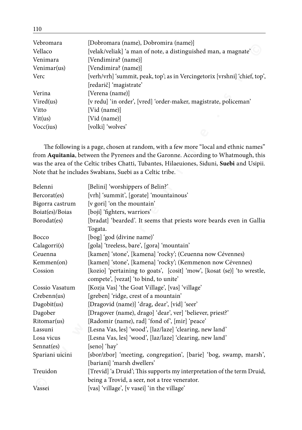| Vebromara   | [Dobromara (name), Dobromira (name)]                                       |
|-------------|----------------------------------------------------------------------------|
| Vellaco     | [velak/veliak] 'a man of note, a distinguished man, a magnate'             |
| Venimara    | [Vendimira? (name)]                                                        |
| Venimar(us) | [Vendimira? (name)]                                                        |
| Verc        | [verh/vrh] 'summit, peak, top'; as in Vercingetorix [vrshni] 'chief, top', |
|             | [redarič] 'magistrate'                                                     |
| Verina      | [Verena (name)]                                                            |
| Vired(us)   | [v redu] 'in order', [vred] 'order-maker, magistrate, policeman'           |
| Vitto       | [Vid (name)]                                                               |
| Vit(us)     | [Vid (name)]                                                               |
| Vocc(ius)   | [volki] 'wolves'                                                           |
|             |                                                                            |

| veolomala       | $[100010111a1a]$ (Italiic), Dooronina (Italiic)]                                           |
|-----------------|--------------------------------------------------------------------------------------------|
| Vellaco         | [velak/veliak] 'a man of note, a distinguished man, a magnate'                             |
| Venimara        | [Vendimira? (name)]                                                                        |
| Venimar(us)     | [Vendimira? (name)]                                                                        |
| Verc            | [verh/vrh] 'summit, peak, top'; as in Vercingetorix [vrshni] 'chief, top',                 |
|                 | [redarič] 'magistrate'                                                                     |
| Verina          | [Verena (name)]                                                                            |
| Vired(us)       | [v redu] 'in order', [vred] 'order-maker, magistrate, policeman'                           |
| Vitto           | [Vid (name)]                                                                               |
| Vit(us)         | [Vid (name)]                                                                               |
| Vocc(ius)       | [volki] 'wolves'                                                                           |
|                 |                                                                                            |
|                 | The following is a page, chosen at random, with a few more "local and ethnic names"        |
|                 | from Aquitania, between the Pyrenees and the Garonne. According to Whatmough, this         |
|                 | was the area of the Celtic tribes Chatti, Tubantes, Hilaeuiones, Siduni, Suebi and Usipii. |
|                 | Note that he includes Swabians, Suebi as a Celtic tribe.                                   |
|                 |                                                                                            |
| Belenni         | [Belini] 'worshippers of Belin?'                                                           |
| Bercorat(es)    | [vrh] 'summit', [gorate] 'mountainous'                                                     |
| Bigorra castrum | [v gori] 'on the mountain'                                                                 |
| Boiat(es)/Boias | [boji] 'fighters, warriors'                                                                |
| Borodat(es)     | [bradat] 'bearded'. It seems that priests wore beards even in Gallia                       |
|                 | Togata.                                                                                    |
| Bocco           | [bog] 'god (divine name)'                                                                  |
| Calagorri(s)    | [gola] 'treeless, bare', [gora] 'mountain'                                                 |
| Ceuenna         | [kamen] 'stone', [kamena] 'rocky'; (Ceuenna now Cévennes)                                  |
| Kemmen(on)      | [kamen] 'stone', [kamena] 'rocky'; (Kemmenon now Cévennes)                                 |
| Cossion         | [kozio] 'pertaining to goats', [cosit] 'mow', [kosat (se)] 'to wrestle,                    |
|                 | compete', [vezat] 'to bind, to unite'                                                      |
| Cossio Vasatum  | [Kozja Vas] 'the Goat Village', [vas] 'village'                                            |
| Crebenn(us)     | [greben] 'ridge, crest of a mountain'                                                      |
| Dagobit(us)     | [Dragovid (name)] 'drag, dear', [vid] 'seer'                                               |
| Dagober         | [Dragover (name), drago] 'dear', ver] 'believer, priest?'                                  |
| Ritomar(us)     | [Radomir (name), rad] 'fond of', [mir] 'peace'                                             |
| Lassuni         | [Lesna Vas, les] 'wood', [laz/laze] 'clearing, new land'                                   |
| Losa vicus      | [Lesna Vas, les] 'wood', [laz/laze] 'clearing, new land'                                   |
| Sennat(es)      | [seno] 'hay'                                                                               |
| Spariani uicini | [sbor/zbor] 'meeting, congregation', [barie] 'bog, swamp, marsh',                          |
|                 | [bariani] 'marsh dwellers'                                                                 |
| Treuidon        | [Trevid] 'a Druid'; This supports my interpretation of the term Druid,                     |
|                 | being a Trovid, a seer, not a tree venerator.                                              |
| Vassei          | [vas] 'village', [v vasei] 'in the village'                                                |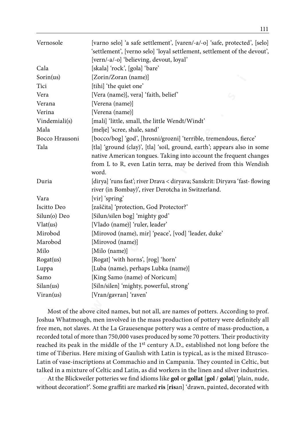| Vernosole              | [varno selo] 'a safe settlement', [varen/-a/-o] 'safe, protected', [selo]<br>'settlement', [verno selo] 'loyal settlement, settlement of the devout',<br>[vern/-a/-o] 'believing, devout, loyal'                          |
|------------------------|---------------------------------------------------------------------------------------------------------------------------------------------------------------------------------------------------------------------------|
| Cala                   | [skala] 'rock', [gola] 'bare'                                                                                                                                                                                             |
| Sorin(us)              | [Zorin/Zoran (name)]                                                                                                                                                                                                      |
| Tici                   | [tihi] 'the quiet one'                                                                                                                                                                                                    |
| Vera                   | [Vera (name)], vera] 'faith, belief'                                                                                                                                                                                      |
| Verana                 | [Verena (name)]                                                                                                                                                                                                           |
| Verina                 | [Verena (name)]                                                                                                                                                                                                           |
| Vindemiali(s)          | [mali] 'little, small, the little Wendt/Windt'                                                                                                                                                                            |
| Mala                   |                                                                                                                                                                                                                           |
|                        | [melje] 'scree, shale, sand'                                                                                                                                                                                              |
| Bocco Hrausoni<br>Tala | [bocco/bog] 'god', [hrosni/grozni] 'terrible, tremendous, fierce'                                                                                                                                                         |
|                        | [tla] 'ground (clay)', [tla] 'soil, ground, earth'; appears also in some<br>native American tongues. Taking into account the frequent changes<br>from L to R, even Latin terra, may be derived from this Wendish<br>word. |
| Duria                  | [dirya] 'runs fast'; river Drava < diryava; Sanskrit: Diryava 'fast- flowing<br>river (in Bombay)', river Derotcha in Switzerland.                                                                                        |
| Vara                   | [vir] 'spring'                                                                                                                                                                                                            |
| Iscitto Deo            | [zaščita] 'protection, God Protector?'                                                                                                                                                                                    |
| Silun(o) Deo           | [Silun/silen bog] 'mighty god'                                                                                                                                                                                            |
| Vlat(us)               | [Vlado (name)] 'ruler, leader'                                                                                                                                                                                            |
| Mirobod                | [Mirovod (name), mir] 'peace', [vod] 'leader, duke'                                                                                                                                                                       |
| Marobod                | [Mirovod (name)]                                                                                                                                                                                                          |
| Milo                   | [Milo (name)]                                                                                                                                                                                                             |
| Rogat(us)              | [Rogat] 'with horns', [rog] 'horn'                                                                                                                                                                                        |
| Luppa                  | [Luba (name), perhaps Lubka (name)]                                                                                                                                                                                       |
| Samo                   | [King Samo (name) of Noricum]                                                                                                                                                                                             |
| Silan(us)              | [Siln/silen] 'mighty, powerful, strong'                                                                                                                                                                                   |
| Viran(us)              | [Vran/gavran] 'raven'                                                                                                                                                                                                     |
|                        |                                                                                                                                                                                                                           |
|                        | Most of the above cited names, but not all, are names of potters. According to prof.                                                                                                                                      |
|                        | Joshua Whatmough, men involved in the mass production of pottery were definitely all                                                                                                                                      |
|                        | free men, not slaves. At the La Grauesenque pottery was a centre of mass-production, a                                                                                                                                    |
|                        | recorded total of more than 750,000 vases produced by some 70 potters. Their productivity                                                                                                                                 |
|                        | reached its peak in the middle of the 1 <sup>st</sup> century A.D., established not long before the                                                                                                                       |
|                        | time of Tiberius. Here mixing of Gaulish with Latin is typical, as is the mixed Etrusco-                                                                                                                                  |
|                        | Latin of vase-inscriptions at Commachio and in Campania. They counted in Celtic, but                                                                                                                                      |
|                        | talked in a mixture of Celtic and Latin, as did workers in the linen and silver industries.                                                                                                                               |
|                        | At the Blickweiler potteries we find idioms like gol or gollat [gol / golat] 'plain, nude,                                                                                                                                |
|                        | without decoration?'. Some graffiti are marked ris [risan] 'drawn, painted, decorated with                                                                                                                                |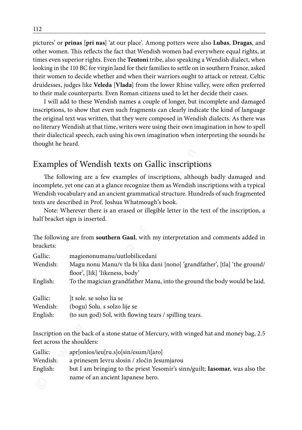pictures' or **prinas** [**pri nas**] 'at our place'. Among potters were also **Lubas**, **Dragas**, and other women. This reflects the fact that Wendish women had everywhere equal rights, at times even superior rights. Even the **Teutoni** tribe, also speaking a Wendish dialect, when looking in the 110 BC for virgin land for their families to settle on in southern France, asked their women to decide whether and when their warriors ought to attack or retreat. Celtic druidesses, judges like **Veleda** [**Vlada**] from the lower Rhine valley, were often preferred to their male counterparts. Even Roman citizens used to let her decide their cases.

### Examples of Wendish texts on Gallic inscriptions

|                                 | pictures of <b>prinas</b> [pri nas] at our place. Alliong potters were also <b>Lubas, Dragas,</b> and<br>other women. This reflects the fact that Wendish women had everywhere equal rights, at<br>times even superior rights. Even the Teutoni tribe, also speaking a Wendish dialect, when<br>looking in the 110 BC for virgin land for their families to settle on in southern France, asked<br>their women to decide whether and when their warriors ought to attack or retreat. Celtic<br>druidesses, judges like Veleda [Vlada] from the lower Rhine valley, were often preferred<br>to their male counterparts. Even Roman citizens used to let her decide their cases.<br>I will add to these Wendish names a couple of longer, but incomplete and damaged<br>inscriptions, to show that even such fragments can clearly indicate the kind of language<br>the original text was written, that they were composed in Wendish dialects. As there was |
|---------------------------------|------------------------------------------------------------------------------------------------------------------------------------------------------------------------------------------------------------------------------------------------------------------------------------------------------------------------------------------------------------------------------------------------------------------------------------------------------------------------------------------------------------------------------------------------------------------------------------------------------------------------------------------------------------------------------------------------------------------------------------------------------------------------------------------------------------------------------------------------------------------------------------------------------------------------------------------------------------|
|                                 | no literary Wendish at that time, writers were using their own imagination in how to spell<br>their dialectical speech, each using his own imagination when interpreting the sounds he                                                                                                                                                                                                                                                                                                                                                                                                                                                                                                                                                                                                                                                                                                                                                                     |
| thought he heard.               |                                                                                                                                                                                                                                                                                                                                                                                                                                                                                                                                                                                                                                                                                                                                                                                                                                                                                                                                                            |
|                                 |                                                                                                                                                                                                                                                                                                                                                                                                                                                                                                                                                                                                                                                                                                                                                                                                                                                                                                                                                            |
|                                 | Examples of Wendish texts on Gallic inscriptions                                                                                                                                                                                                                                                                                                                                                                                                                                                                                                                                                                                                                                                                                                                                                                                                                                                                                                           |
|                                 | The following are a few examples of inscriptions, although badly damaged and<br>incomplete, yet one can at a glance recognize them as Wendish inscriptions with a typical<br>Wendish vocabulary and an ancient grammatical structure. Hundreds of such fragmented<br>texts are described in Prof. Joshua Whatmough's book.<br>Note: Wherever there is an erased or illegible letter in the text of the inscription, a<br>half bracket sign is inserted.                                                                                                                                                                                                                                                                                                                                                                                                                                                                                                    |
| brackets:                       | The following are from southern Gaul, with my interpretation and comments added in                                                                                                                                                                                                                                                                                                                                                                                                                                                                                                                                                                                                                                                                                                                                                                                                                                                                         |
| Gallic:                         | magiononumanu/uutlobilicedani                                                                                                                                                                                                                                                                                                                                                                                                                                                                                                                                                                                                                                                                                                                                                                                                                                                                                                                              |
| Wendish:                        | Magu nonu Manu/v tla bi lika dani [nono] 'grandfather', [tla] 'the ground/<br>floor', [lik] 'likeness, body'                                                                                                                                                                                                                                                                                                                                                                                                                                                                                                                                                                                                                                                                                                                                                                                                                                               |
| English:                        | To the magician grandfather Manu, into the ground the body would be laid.                                                                                                                                                                                                                                                                                                                                                                                                                                                                                                                                                                                                                                                                                                                                                                                                                                                                                  |
| Gallic:<br>Wendish:<br>English: | ]t sole. se solso lia se<br>(bogu) Solu. s solzo lije se<br>(to sun god) Sol, with flowing tears / spilling tears.                                                                                                                                                                                                                                                                                                                                                                                                                                                                                                                                                                                                                                                                                                                                                                                                                                         |
| feet across the shoulders:      | Inscription on the back of a stone statue of Mercury, with winged hat and money bag, 2.5                                                                                                                                                                                                                                                                                                                                                                                                                                                                                                                                                                                                                                                                                                                                                                                                                                                                   |
| Gallic:<br>Wendish:<br>English: | apr[onios/ieu[ru.s]o[sin/esum/i[aro]<br>a prinesem Ievru slosin / zločin Jesumjarou<br>but I am bringing to the priest Yesomir's sinn/guilt; Iasomar, was also the<br>name of an ancient Japanese hero.                                                                                                                                                                                                                                                                                                                                                                                                                                                                                                                                                                                                                                                                                                                                                    |

| Gallic:  | apr[onios/ieu[ru.s]o[sin/esum/i[aro]                                        |
|----------|-----------------------------------------------------------------------------|
| Wendish: | a prinesem Ievru slosin / zločin Jesumjarou                                 |
| English: | but I am bringing to the priest Yesomir's sinn/guilt; Iasomar, was also the |
|          | name of an ancient Japanese hero.                                           |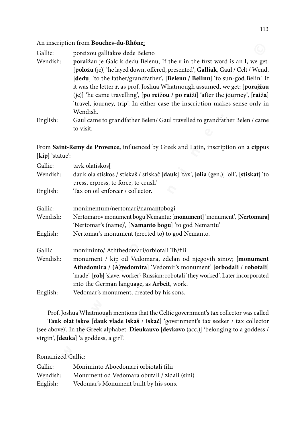| Gallic:  | poreixou galliakos dede Beleno                                                  |
|----------|---------------------------------------------------------------------------------|
| Wendish: | poraižau je Galc k dedu Belenu; If the r in the first word is an l, we get:     |
|          | [položu (je)] 'he layed down, offered, presented', Galliak, Gaul / Celt / Wend, |
|          | [dedu] 'to the father/grandfather', [Belenu / Belinu] 'to sun-god Belin'. If    |
|          | it was the letter r, as prof. Joshua Whatmough assumed, we get: [porajžau]      |
|          | (je)] 'he came travelling', [po reižou / po raiži] 'after the journey', [raiža] |
|          | 'travel, journey, trip'. In either case the inscription makes sense only in     |
|          | Wendish.                                                                        |
| English: | Gaul came to grandfather Belen/ Gaul travelled to grandfather Belen / came      |
|          | to visit.                                                                       |

|                     | An inscription from <b>boucnes-au-Rhone</b> :                                                                                                                                                                                                           |  |
|---------------------|---------------------------------------------------------------------------------------------------------------------------------------------------------------------------------------------------------------------------------------------------------|--|
| Gallic:             | poreixou galliakos dede Beleno                                                                                                                                                                                                                          |  |
| Wendish:            | poraižau je Galc k dedu Belenu; If the r in the first word is an l, we get:<br>[položu (je)] 'he layed down, offered, presented', Galliak, Gaul / Celt / Wend,<br>[dedu] 'to the father/grandfather', [Belenu / Belinu] 'to sun-god Belin'. If          |  |
|                     | it was the letter r, as prof. Joshua Whatmough assumed, we get: [porajžau<br>(je)] 'he came travelling', [po reižou / po raiži] 'after the journey', [raiža]<br>'travel, journey, trip'. In either case the inscription makes sense only in<br>Wendish. |  |
| English:            | Gaul came to grandfather Belen/ Gaul travelled to grandfather Belen / came                                                                                                                                                                              |  |
|                     | to visit.                                                                                                                                                                                                                                               |  |
|                     |                                                                                                                                                                                                                                                         |  |
| [kip] 'statue':     | From Saint-Remy de Provence, influenced by Greek and Latin, inscription on a cippus                                                                                                                                                                     |  |
| Gallic:             | tavk olatiskos[                                                                                                                                                                                                                                         |  |
| Wendish:            | dauk ola stiskos / stiskaš / stiskač [dauk] 'tax', [olia (gen.)] 'oil', [stiskat] 'to<br>press, erpress, to force, to crush'                                                                                                                            |  |
| English:            | Tax on oil enforcer / collector.                                                                                                                                                                                                                        |  |
| Gallic:             | monimentum/nertomari/namantobogi                                                                                                                                                                                                                        |  |
| Wendish:            | Nertomarov monument bogu Nemantu; [monument] 'monument', [Nertomara]<br>'Nertomar's (name)', [Namanto bogu] 'to god Nemantu'                                                                                                                            |  |
| English:            | Nertomar's monument (erected to) to god Nemanto.                                                                                                                                                                                                        |  |
| Gallic:             | moniminto/ Aththedomari/orbiotali Th/fili                                                                                                                                                                                                               |  |
| Wendish:            | monument / kip od Vedomara, zdelan od njegovih sinov; [monument                                                                                                                                                                                         |  |
|                     | Athedomira / (A)vedomira] 'Vedomir's monument' [orbodali / robotali]<br>'made', [rob] 'slave, worker'; Russian: robotali 'they worked'. Later incorporated<br>into the German language, as Arbeit, work.                                                |  |
| English:            | Vedomar's monument, created by his sons.                                                                                                                                                                                                                |  |
|                     | Prof. Joshua Whatmough mentions that the Celtic government's tax collector was called<br>Tauk olat iskos [dauk vlade iskaš / iskač] 'government's tax seeker / tax collector                                                                            |  |
|                     | (see above)'. In the Greek alphabet: Dieukauvo [devkovo (acc.)] 'belonging to a goddess /                                                                                                                                                               |  |
|                     | virgin', [deuka] 'a goddess, a girl'.                                                                                                                                                                                                                   |  |
|                     |                                                                                                                                                                                                                                                         |  |
| Romanized Gallic:   |                                                                                                                                                                                                                                                         |  |
| Gallic:<br>Wendish: | Moniminto Aboedomari orbiotali filii                                                                                                                                                                                                                    |  |
| English:            | Monument od Vedomara obutali / zidali (sini)<br>Vedomar's Monument built by his sons.                                                                                                                                                                   |  |
|                     |                                                                                                                                                                                                                                                         |  |

| Gallic:  | Moniminto Aboedomari orbiotali filii         |
|----------|----------------------------------------------|
| Wendish: | Monument od Vedomara obutali / zidali (sini) |
| English: | Vedomar's Monument built by his sons.        |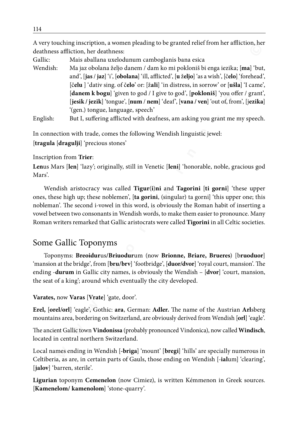A very touching inscription, a women pleading to be granted relief from her affliction, her deathness affliction, her deathness:

Gallic: Mais aballana uxelodunum camboglanis bana esica

**We youth any only that and work of the since the since of the since the since the since the since of the since of the since of the since of the since the since the since the since the since the since the since the since t** Wendish: Ma jaz obolana željo danem / dam ko mi pokloniš bi enga iezika; [**ma**] 'but, and', [**jas** / **jaz**] 'i', [**obolana**] 'ill, afflicted', [**u** ž**eljo**] 'as a wish', [č**elo**] 'forehead', [č**elu** ] 'dativ sing. of č**elo**' or: [ž**ali**] 'in distress, in sorrow' or [**ušla**] 'I came', [**danem k bogu**] 'given to god / I give to god', [**pokloniš**] 'you offer / grant', [**jesik / jezik**] 'tongue', [**num** / **nem**] 'deaf', [**vana / ven**] 'out of, from', [j**ezika**] '(gen.) tongue, language, speech'

English: But I, suffering afflicted with deafness, am asking you grant me my speech.

In connection with trade, comes the following Wendish linguistic jewel: [**tragula** [**dragulji**] 'precious stones'

#### Inscription from **Trier**:

**Len**us Mars [**len**] 'lazy'; originally, still in Venetic [**leni**] 'honorable, noble, gracious god Mars'.

Wendish aristocracy was called **Tigur**(**i**)**ni** and **Tagorini** [**ti gorni**] 'these upper ones, these high up; these noblemen', [**ta gorini**, (singular) ta gorni] 'this upper one; this nobleman'. The second i-vowel in this word, is obviously the Roman habit of inserting a vowel between two consonants in Wendish words, to make them easier to pronounce. Many Roman writers remarked that Gallic aristocrats were called **Tigorini** in all Celtic societies.

## Some Gallic Toponyms

Toponyms: **Breoidur**us**/Briuodur**um (now **Brionne, Briare, Brueres**) [b**ruoduor**] 'mansion at the bridge', from [**bru/brv**] 'footbridge', [**duor/dvor**] 'royal court, mansion'. The ending -**durum** in Gallic city names, is obviously the Wendish – [**dvor**] 'court, mansion, the seat of a king'; around which eventually the city developed.

#### **Varates,** now **Varas** [**Vrate**] 'gate, door'.

**Erel,** [**orel/orl**] 'eagle', Gothic: **ara**, German: **Adler.** The name of the Austrian **Arl**sberg mountains area, bordering on Switzerland, are obviously derived from Wendish [**orl**] 'eagle'.

The ancient Gallic town **Vindonissa** (probably pronounced Vindonica), now called **Windisch**, located in central northern Switzerland.

Local names ending in Wendish [**-briga**] 'mount' [**bregi**] 'hills' are specially numerous in Celtiberia, as are, in certain parts of Gauls, those ending on Wendish [-**ial**um] 'clearing', [**jalov**] 'barren, sterile'.

**Ligurian** toponym **Cemenelon** (now Cimiez), is written Kémmenon in Greek sources. [**Kamenelom/ kamenolom**] 'stone-quarry'.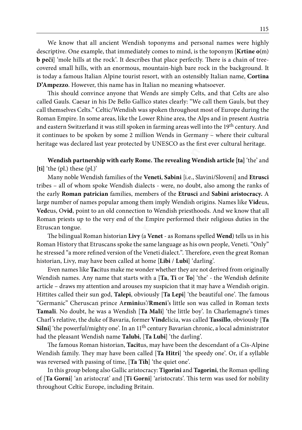We know that all ancient Wendish toponyms and personal names were highly descriptive. One example, that immediately comes to mind, is the toponym [**Krtine o**(m) **b peči**] 'mole hills at the rock'. It describes that place perfectly. There is a chain of treecovered small hills, with an enormous, mountain-high bare rock in the background. It is today a famous Italian Alpine tourist resort, with an ostensibly Italian name, **Cortina D'Ampezzo**. However, this name has in Italian no meaning whatsoever.

This should convince anyone that Wends are simply Celts, and that Celts are also called Gauls. Caesar in his De Bello Gallico states clearly: "We call them Gauls, but they call themselves Celts." Celtic/Wendish was spoken throughout most of Europe during the Roman Empire. In some areas, like the Lower Rhine area, the Alps and in present Austria and eastern Switzerland it was still spoken in farming areas well into the 19<sup>th</sup> century. And it continues to be spoken by some 2 million Wends in Germany – where their cultural heritage was declared last year protected by UNESCO as the first ever cultural heritage.

**Wendish partnership with early Rome. The revealing Wendish article [ta]** 'the' and **[ti]** 'the (pl.) these (pl.)'

Many noble Wendish families of the **Veneti**, **Sabini** [i.e., Slavini/Sloveni] and **Etrusci** tribes – all of whom spoke Wendish dialects - were, no doubt, also among the ranks of the early **Roman patrician** families, members of the **Etrusci** and **Sabini aristocracy.** A large number of names popular among them imply Wendish origins. Names like **Vid**eus, **Ved**eus, O**vid**, point to an old connection to Wendish priesthoods. And we know that all Roman priests up to the very end of the Empire performed their religious duties in the Etruscan tongue.

The bilingual Roman historian **Livy** (a **Venet** - as Romans spelled **Wend**) tells us in his Roman History that Etruscans spoke the same language as his own people, Veneti. "Only" he stressed "a more refined version of the Veneti dialect.". Therefore, even the great Roman historian, Livy, may have been called at home [**Libi** / **Lubi**] 'darling'.

**E We find and the find words in the same in the same in the same in the same of the same of the property (beer composed) and the same of the same of the same of the same of the same of the same of the same of the same** Even names like **Ta**citus make me wonder whether they are not derived from originally Wendish names. Any name that starts with a [**Ta**, **Ti** or **To**] 'the' - the Wendish definite article – draws my attention and arouses my suspicion that it may have a Wendish origin. Hittites called their sun god, **Talepi**, obviously [**Ta Lepi**] 'the beautiful one'. The famous "Germanic" Cheruscan prince A**rmini**us'/**Rmeni**'s little son was called in Roman texts **Tamali**. No doubt, he was a Wendish [**Ta Mali**] 'the little boy'. In Charlemagne's times Charl's relative, the duke of Bavaria, former **Vind**elicia, was called **Tassillo**, obviously [**Ta**  Silni] 'the powerful/mighty one'. In an 11<sup>th</sup> century Bavarian chronic, a local administrator had the pleasant Wendish name **Talubi**, [**Ta Lubi**] 'the darling'.

The famous Roman historian, **Tacit**us, may have been the descendant of a Cis-Alpine Wendish family. They may have been called [**Ta Hitri**] 'the speedy one'. Or, if a syllable was reversed with passing of time, [**Ta Tih**] 'the quiet one'.

In this group belong also Gallic aristocracy: **Tigorini** and **Tagorini**, the Roman spelling of [**Ta Gorni**] 'an aristocrat' and [**Ti Gorni**] 'aristocrats'. This term was used for nobility throughout Celtic Europe, including Britain.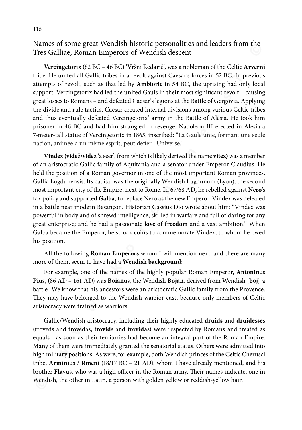Names of some great Wendish historic personalities and leaders from the Tres Galliae, Roman Emperors of Wendish descent

**Vercingetorix** (82 BC – 46 BC) 'Vršni Redarič'**,** was a nobleman of the Celtic **Arverni** tribe. He united all Gallic tribes in a revolt against Caesar's forces in 52 BC. In previous attempts of revolt, such as that led by **Ambioric** in 54 BC, the uprising had only local support. Vercingetorix had led the united Gauls in their most significant revolt – causing great losses to Romans – and defeated Caesar's legions at the Battle of Gergovia. Applying the divide and rule tactics, Caesar created internal divisions among various Celtic tribes and thus eventually defeated Vercingetorix' army in the Battle of Alesia. He took him prisoner in 46 BC and had him strangled in revenge. Napoleon III erected in Alesia a 7-meter-tall statue of Vercingetorix in 1865, inscribed: "La Gaule unie, formant une seule nacion, animée d'un même esprit, peut défier l'Universe."

**EXERENT WE THE TRANGE TRANGE TRANGE TRANGE TRANGE TRANGE TRANGE TRANGED TRANGED TRANGED TRANGED IN the straight Case of Fred SCI (** $\sim$  **Fred SCI (** $\sim$  **Fred SCI (** $\sim$  **Fred SCI (** $\sim$  **Fred SCI (** $\sim$  **Fred SCI (** $\sim$  **Fred SCI ( Vindex (videž/videz** 'a seer', from which is likely derived the name **vitez)** was a member of an aristocratic Gallic family of Aquitania and a senator under Emperor Claudius. He held the position of a Roman governor in one of the most important Roman provinces, Gallia Lugdunensis. Its capital was the originally Wendish Lugdunum (Lyon), the second most important city of the Empire, next to Rome. In 67/68 AD**,** he rebelled against **Nero**'s tax policy and supported **Galba**, to replace Nero as the new Emperor. Vindex was defeated in a battle near modern Besançon. Historian Cassius Dio wrote about him: "Vindex was powerful in body and of shrewd intelligence, skilled in warfare and full of daring for any great enterprise; and he had a passionate **love of freedom** and a vast ambition." When Galba became the Emperor, he struck coins to commemorate Vindex, to whom he owed his position.

All the following **Roman Emperors** whom I will mention next, and there are many more of them, seem to have had a **Wendish background**:

For example, one of the names of the highly popular Roman Emperor, **Antonin**us **Pi**us**,** (86 AD – 161 AD) was **Boian**us, the Wendish **Bojan**, derived from Wendish [**boj**] 'a battle'. We know that his ancestors were an aristocratic Gallic family from the Provence. They may have belonged to the Wendish warrior cast, because only members of Celtic aristocracy were trained as warriors.

Gallic/Wendish aristocracy, including their highly educated **druids** and **druidesses** (troveds and trovedas, tro**vid**s and tro**vida**s) were respected by Romans and treated as equals - as soon as their territories had become an integral part of the Roman Empire. Many of them were immediately granted the senatorial status. Others were admitted into high military positions. As were, for example, both Wendish princes of the Celtic Cherusci tribe, **Armini**us / **Rmeni** (18/17 BC – 21 AD), whom I have already mentioned, and his brother **Flav**us, who was a high officer in the Roman army. Their names indicate, one in Wendish, the other in Latin, a person with golden yellow or reddish-yellow hair.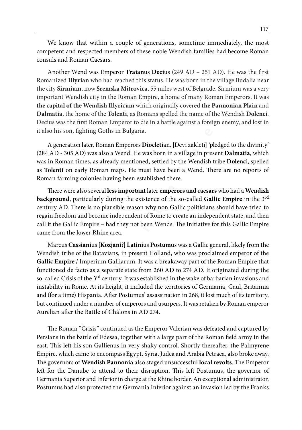We know that within a couple of generations, sometime immediately, the most competent and respected members of these noble Wendish families had become Roman consuls and Roman Caesars.

Another Wend was Emperor **Traian**us **Deci**us (249 AD – 251 AD). He was the first Romanized **Illyrian** who had reached this status. He was born in the village Budalia near the city **Sirmium**, now **Sremska Mitrovica**, 55 miles west of Belgrade. Sirmium was a very important Wendish city in the Roman Empire, a home of many Roman Emperors. It was **the capital of the Wendish Illyricum** which originally covered **the Pannonian Plain** and **Dalmatia**, the home of the **Tolenti**, as Romans spelled the name of the Wendish **Dolenci**. Decius was the first Roman Emperor to die in a battle against a foreign enemy, and lost in it also his son, fighting Goths in Bulgaria.

A generation later, Roman Emperors **Diocleti**an, [Devi zakleti] 'pledged to the divinity' (284 AD - 305 AD) was also a Wend. He was born in a village in present **Dalmatia**, which was in Roman times, as already mentioned, settled by the Wendish tribe **Dolenc**i, spelled as **Tolenti** on early Roman maps. He must have been a Wend. There are no reports of Roman farming colonies having been established there.

There were also several **less important** later **emperors and caesars** who had a **Wendish background**, particularly during the existence of the so-called **Gallic Empire** in the 3rd century AD. There is no plausible reason why non Gallic politicians should have tried to regain freedom and become independent of Rome to create an independent state, and then call it the Gallic Empire – had they not been Wends. The initiative for this Gallic Empire came from the lower Rhine area.

**We k** so **w** alway was involving the proper of generations, sometion-<br>**Convergence in a** comparison of the some black weather in the state of the momentum and recented members of these noble Wendish familits had become ko Marcus **Cassiani**us [**Kozjani**?] **Latini**us **Postum**us was a Gallic general, likely from the Wendish tribe of the Batavians, in present Holland, who was proclaimed emperor of the **Gallic Empire** / Imperium Galliarum. It was a breakaway part of the Roman Empire that functioned de facto as a separate state from 260 AD to 274 AD. It originated during the so-called Crisis of the 3<sup>rd</sup> century. It was established in the wake of barbarian invasions and instability in Rome. At its height, it included the territories of Germania, Gaul, Britannia and (for a time) Hispania. After Postumus' assassination in 268, it lost much of its territory, but continued under a number of emperors and usurpers. It was retaken by Roman emperor Aurelian after the Battle of Châlons in AD 274.

The Roman "Crisis" continued as the Emperor Valerian was defeated and captured by Persians in the battle of Edessa, together with a large part of the Roman field army in the east. This left his son Gallienus in very shaky control. Shortly thereafter, the Palmyrene Empire, which came to encompass Egypt, Syria, Judea and Arabia Petraea, also broke away. The governors of **Wendish Pannonia** also staged unsuccessful **local revolts**. The Emperor left for the Danube to attend to their disruption. This left Postumus, the governor of Germania Superior and Inferior in charge at the Rhine border. An exceptional administrator, Postumus had also protected the Germania Inferior against an invasion led by the Franks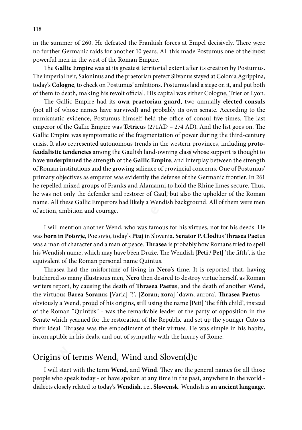in the summer of 260. He defeated the Frankish forces at Empel decisively. There were no further Germanic raids for another 10 years. All this made Postumus one of the most powerful men in the west of the Roman Empire.

The **Gallic Empire** was at its greatest territorial extent after its creation by Postumus. The imperial heir, Saloninus and the praetorian prefect Silvanus stayed at Colonia Agrippina, today's **Cologne**, to check on Postumus' ambitions. Postumus laid a siege on it, and put both of them to death, making his revolt official. His capital was either Cologne, Trier or Lyon.

If the standard the standard the rank is interested to the standard in the standard in the weat of the Roman Empire the standard in the weat of the Roman Empire the standard interest in the weat of the Roman Empire. The Ga The Gallic Empire had its **own praetorian guard**, two annually **elected consul**s (not all of whose names have survived) and probably its own senate. According to the numismatic evidence, Postumus himself held the office of consul five times. The last emperor of the Gallic Empire was **Tetric**us (271AD – 274 AD). And the list goes on. The Gallic Empire was symptomatic of the fragmentation of power during the third-century crisis. It also represented autonomous trends in the western provinces, including **protofeudalistic tendencies** among the Gaulish land-owning class whose support is thought to have **underpinned** the strength of the **Gallic Empire**, and interplay between the strength of Roman institutions and the growing salience of provincial concerns. One of Postumus' primary objectives as emperor was evidently the defense of the Germanic frontier. In 261 he repelled mixed groups of Franks and Alamanni to hold the Rhine limes secure. Thus, he was not only the defender and restorer of Gaul, but also the upholder of the Roman name. All these Gallic Emperors had likely a Wendish background. All of them were men of action, ambition and courage.

I will mention another Wend, who was famous for his virtues, not for his deeds. He was **born in Potovje**, Poetovio, today's **Ptuj** in Slovenia. **Senator P. Clodi**us **Thrasea Paet**us was a man of character and a man of peace. **Thrasea** is probably how Romans tried to spell his Wendish name, which may have been Draže. The Wendish [**Peti / Pet**] 'the fifth', is the equivalent of the Roman personal name Quintus.

Thrasea had the misfortune of living in **Nero**'s time. It is reported that, having butchered so many illustrious men, **Nero** then desired to destroy virtue herself, as Roman writers report, by causing the death of **Thrasea Paetu**s, and the death of another Wend, the virtuous **Barea Soran**us [Varia] '?', [**Zoran**; **zora**] 'dawn, aurora'. **Thrasea Paet**us – obviously a Wend, proud of his origins, still using the name [Peti] 'the fifth child', instead of the Roman "Quintus" - was the remarkable leader of the party of opposition in the Senate which yearned for the restoration of the Republic and set up the younger Cato as their ideal. Thrasea was the embodiment of their virtues. He was simple in his habits, incorruptible in his deals, and out of sympathy with the luxury of Rome.

### Origins of terms Wend, Wind and Sloven(d)c

I will start with the term **Wend**, and **Wind**. They are the general names for all those people who speak **t**oday - or have spoken at any time in the past, anywhere in the world dialects closely related to today's **Wendish**, i.e., **Slowensk**. Wendish is an **ancient language**.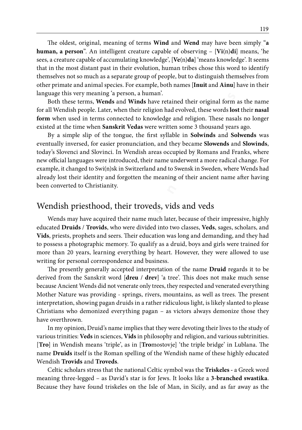The oldest, original, meaning of terms **Wind** and **Wend** may have been simply "**a human, a person**". An intelligent creature capable of observing – [**Vi**(n)**di**] means, 'he sees, a creature capable of accumulating knowledge', [**Ve**(n)**da**] 'means knowledge'. It seems that in the most distant past in their evolution, human tribes chose this word to identify themselves not so much as a separate group of people, but to distinguish themselves from other primate and animal species. For example, both names [**Inuit** and **Ainu**] have in their language this very meaning 'a person, a human'.

Both these terms, **Wends** and **Winds** have retained their original form as the name for all Wendish people. Later, when their religion had evolved, these words **lost** their **nasal form** when used in terms connected to knowledge and religion. These nasals no longer existed at the time when **Sanskrit Vedas** were written some 3 thousand years ago.

**© w w w . k o r e n i n e . s i ©** By a simple slip of the tongue, the first syllable in **Solwinds** and **Solwends** was eventually inversed, for easier pronunciation, and they became **Slowends** and **Slowinds**, today's Slovenci and Slovinci. In Wendish areas occupied by Romans and Franks, where new official languages were introduced, their name underwent a more radical change. For example, it changed to Swi(n)sk in Switzerland and to Swensk in Sweden, where Wends had already lost their identity and forgotten the meaning of their ancient name after having been converted to Christianity.

### Wendish priesthood, their troveds, vids and veds

Wends may have acquired their name much later, because of their impressive, highly educated **Druids** / **Trovids**, who were divided into two classes, **Veds**, sages, scholars, and **Vids**, priests, prophets and seers. Their education was long and demanding, and they had to possess a photographic memory. To qualify as a druid, boys and girls were trained for more than 20 years, learning everything by heart. However, they were allowed to use writing for personal correspondence and business.

The presently generally accepted interpretation of the name **Druid** regards it to be derived from the Sanskrit word [**dreu** / **drev**] 'a tree'. This does not make much sense because Ancient Wends did not venerate only trees, they respected and venerated everything Mother Nature was providing - springs, rivers, mountains, as well as trees. The present interpretation, showing pagan druids in a rather ridiculous light, is likely slanted to please Christians who demonized everything pagan – as victors always demonize those they have overthrown.

In my opinion, Druid's name implies that they were devoting their lives to the study of various trinities: **Veds** in sciences, **Vids** in philosophy and religion, and various subtrinities. [**Tro**] in Wendish means 'triple', as in [**Tro**mostovje] 'the triple bridge' in Lublana. The name **Druids** itself is the Roman spelling of the Wendish name of these highly educated Wendish **Trovids** and **Troveds**.

Celtic scholars stress that the national Celtic symbol was the **Triskeles -** a Greek word meaning three-legged – as David's star is for Jews. It looks like a **3-branched swastika**. Because they have found triskeles on the Isle of Man, in Sicily, and as far away as the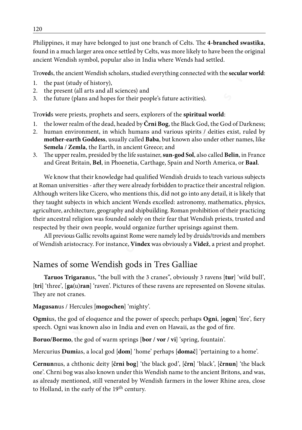Philippines, it may have belonged to just one branch of Celts. The **4-branched swastika**, found in a much larger area once settled by Celts, was more likely to have been the original ancient Wendish symbol, popular also in India where Wends had settled.

Tro**ved**s, the ancient Wendish scholars, studied everything connected with the **secular world**:

- 1. the past (study of history),
- 2. the present (all arts and all sciences) and
- 3. the future (plans and hopes for their people's future activities).

Tro**vid**s were priests, prophets and seers, explorers of the **spiritual world**:

- 1. the lower realm of the dead, headed by **Črni Bog**, the Black God, the God of Darkness;
- 2. human environment, in which humans and various spirits / deities exist, ruled by **mother-earth Goddess**, usually called **Baba**, but known also under other names, like **Semela** / **Zemla**, the Earth, in ancient Greece; and
- 3. The upper realm, presided by the life sustainer, **sun-god Sol**, also called **Belin**, in France and Great Britain, **Bel**, in Phoenetia, Carthage, Spain and North America, or **Baal**.

**Example 18**<br> **EXECUTE THE AND THAND IN THE SET AND THE SET AND THAND IN the state of the state of the particle state of the particle in the particle in the particle in the particle in the particle in the particle in the p** We know that their knowledge had qualified Wendish druids to teach various subjects at Roman universities - after they were already forbidden to practice their ancestral religion. Although writers like Cicero, who mentions this, did not go into any detail, it is likely that they taught subjects in which ancient Wends excelled: astronomy, mathematics, physics, agriculture, architecture, geography and shipbuilding. Roman prohibition of their practicing their ancestral religion was founded solely on their fear that Wendish priests, trusted and respected by their own people, would organize further uprisings against them.

All previous Gallic revolts against Rome were namely led by druids/trovids and members of Wendish aristocracy. For instance, **Vindex** was obviously a **Videž**, a priest and prophet.

## Names of some Wendish gods in Tres Galliae

**Taruos Trigaran**us, "the bull with the 3 cranes", obviously 3 ravens [**tur**] 'wild bull', [**tri**] 'three', [**ga**(u)**ran**] 'raven'. Pictures of these ravens are represented on Slovene situlas. They are not cranes.

#### **Magusan**us / Hercules [**mogochen**] 'mighty'.

**Ogmi**us, the god of eloquence and the power of speech; perhaps **Ogni**, [**ogen**] 'fire', fiery speech. Ogni was known also in India and even on Hawaii, as the god of fire.

**Boruo/Bormo**, the god of warm springs [**bor / vor / vi**] 'spring, fountain'.

Mercurius **Dumi**as, a local god [**dom**] 'home' perhaps [**domač**] 'pertaining to a home'.

**Cernun**nus, a chthonic deity [**črni bog**] 'the black god', [**črn**] 'black', [**črnun**] 'the black one'. Chrni bog was also known under this Wendish name to the ancient Britons, and was, as already mentioned, still venerated by Wendish farmers in the lower Rhine area, close to Holland, in the early of the 19<sup>th</sup> century.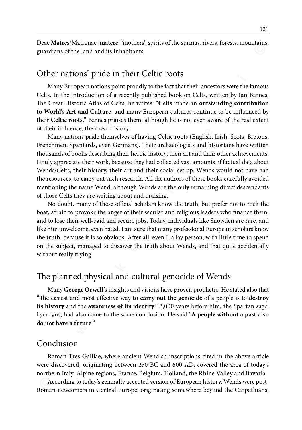Deae **Matr**es/Matronae [**matere**] 'mothers', spirits of the springs, rivers, forests, mountains, guardians of the land and its inhabitants.

#### Other nations' pride in their Celtic roots

Many European nations point proudly to the fact that their ancestors were the famous Celts. In the introduction of a recently published book on Celts, written by Ian Barnes, The Great Historic Atlas of Celts, he writes: "**Celts** made an **outstanding contribution to World's Art and Culture**, and many European cultures continue to be influenced by their **Celtic roots.**" Barnes praises them, although he is not even aware of the real extent of their influence, their real history.

**Excluentation of matrix (and the matrix (and the matrix (and the matrix of the based with the state of the state of the state of the state of the state of the state of the state of the state of the state of the state of t** Many nations pride themselves of having Celtic roots (English, Irish, Scots, Bretons, Frenchmen, Spaniards, even Germans). Their archaeologists and historians have written thousands of books describing their heroic history, their art and their other achievements. I truly appreciate their work, because they had collected vast amounts of factual data about Wends/Celts, their history, their art and their social set up. Wends would not have had the resources, to carry out such research. All the authors of these books carefully avoided mentioning the name Wend, although Wends are the only remaining direct descendants of those Celts they are writing about and praising.

No doubt, many of these official scholars know the truth, but prefer not to rock the boat, afraid to provoke the anger of their secular and religious leaders who finance them, and to lose their well-paid and secure jobs. Today, individuals like Snowden are rare, and like him unwelcome, even hated. I am sure that many professional European scholars know the truth, because it is so obvious. After all, even I, a lay person, with little time to spend on the subject, managed to discover the truth about Wends, and that quite accidentally without really trying.

### The planned physical and cultural genocide of Wends

Many **George Orwell**'s insights and visions have proven prophetic. He stated also that "The easiest and most effective way **to carry out the genocide** of a people is to **destroy its history** and the **awareness of its identity**." 3,000 years before him, the Spartan sage, Lycurgus, had also come to the same conclusion. He said "**A people without a past also do not have a future**."

#### Conclusion

Roman Tres Galliae, where ancient Wendish inscriptions cited in the above article were discovered, originating between 250 BC and 600 AD, covered the area of today's northern Italy, Alpine regions, France, Belgium, Holland, the Rhine Valley and Bavaria.

According to today's generally accepted version of European history, Wends were post-Roman newcomers in Central Europe, originating somewhere beyond the Carpathians,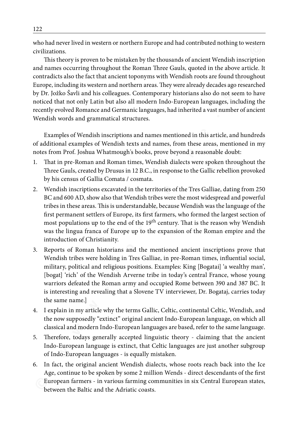who had never lived in western or northern Europe and had contributed nothing to western civilizations.

**w** the sect is the case is provid to the three interaction of **with the control of the control of the sect is provided to the mission of the mission of the mission of the controllation in the controllation is a security p** This theory is proven to be mistaken by the thousands of ancient Wendish inscription and names occurring throughout the Roman Three Gauls, quoted in the above article. It contradicts also the fact that ancient toponyms with Wendish roots are found throughout Europe, including its western and northern areas. They were already decades ago researched by Dr. Jožko Šavli and his colleagues. Contemporary historians also do not seem to have noticed that not only Latin but also all modern Indo-European languages, including the recently evolved Romance and Germanic languages, had inherited a vast number of ancient Wendish words and grammatical structures.

Examples of Wendish inscriptions and names mentioned in this article, and hundreds of additional examples of Wendish texts and names, from these areas, mentioned in my notes from Prof. Joshua Whatmough's books, prove beyond a reasonable doubt:

- 1. That in pre-Roman and Roman times, Wendish dialects were spoken throughout the Three Gauls, created by Drusus in 12 B.C., in response to the Gallic rebellion provoked by his census of Gallia Comata / cosmata.
- 2. Wendish inscriptions excavated in the territories of the Tres Galliae, dating from 250 BC and 600 AD, show also that Wendish tribes were the most widespread and powerful tribes in these areas. This is understandable, because Wendish was the language of the first permanent settlers of Europe, its first farmers, who formed the largest section of most populations up to the end of the 19<sup>th</sup> century. That is the reason why Wendish was the lingua franca of Europe up to the expansion of the Roman empire and the introduction of Christianity.
- 3. Reports of Roman historians and the mentioned ancient inscriptions prove that Wendish tribes were holding in Tres Galliae, in pre-Roman times, influential social, military, political and religious positions. Examples: King [Bogatai] 'a wealthy man', [bogat] 'rich' of the Wendish Arverne tribe in today's central France, whose young warriors defeated the Roman army and occupied Rome between 390 and 387 BC. It is interesting and revealing that a Slovene TV interviewer, Dr. Bogataj, carries today the same name.]
- 4. I explain in my article why the terms Gallic, Celtic, continental Celtic, Wendish, and the now supposedly "extinct" original ancient Indo-European language, on which all classical and modern Indo-European languages are based, refer to the same language.
- 5. Therefore, todays generally accepted linguistic theory claiming that the ancient Indo-European language is extinct, that Celtic languages are just another subgroup of Indo-European languages - is equally mistaken.
- 6. In fact, the original ancient Wendish dialects, whose roots reach back into the Ice Age, continue to be spoken by some 2 million Wends - direct descendants of the first European farmers - in various farming communities in six Central European states, between the Baltic and the Adriatic coasts.